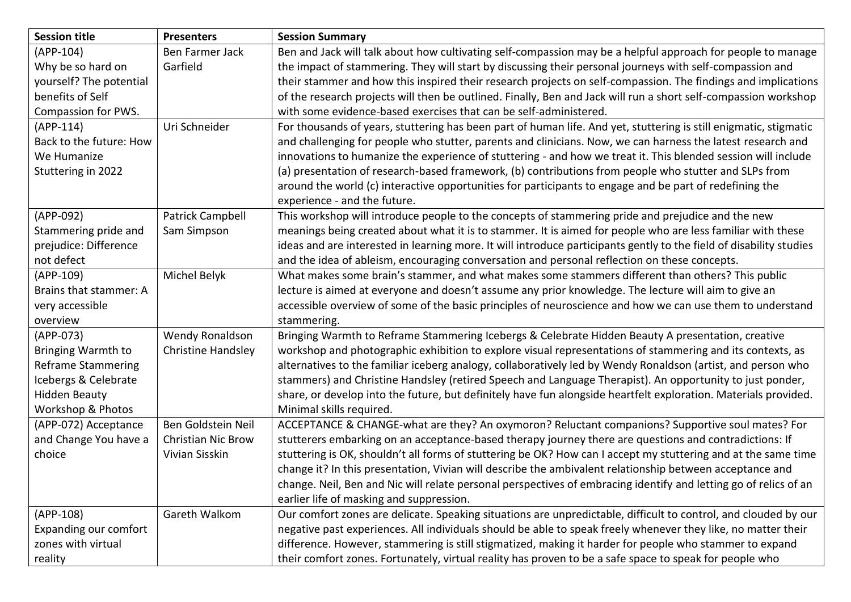| <b>Session title</b>         | <b>Presenters</b>  | <b>Session Summary</b>                                                                                              |
|------------------------------|--------------------|---------------------------------------------------------------------------------------------------------------------|
| (APP-104)                    | Ben Farmer Jack    | Ben and Jack will talk about how cultivating self-compassion may be a helpful approach for people to manage         |
| Why be so hard on            | Garfield           | the impact of stammering. They will start by discussing their personal journeys with self-compassion and            |
| yourself? The potential      |                    | their stammer and how this inspired their research projects on self-compassion. The findings and implications       |
| benefits of Self             |                    | of the research projects will then be outlined. Finally, Ben and Jack will run a short self-compassion workshop     |
| Compassion for PWS.          |                    | with some evidence-based exercises that can be self-administered.                                                   |
| $(APP-114)$                  | Uri Schneider      | For thousands of years, stuttering has been part of human life. And yet, stuttering is still enigmatic, stigmatic   |
| Back to the future: How      |                    | and challenging for people who stutter, parents and clinicians. Now, we can harness the latest research and         |
| We Humanize                  |                    | innovations to humanize the experience of stuttering - and how we treat it. This blended session will include       |
| Stuttering in 2022           |                    | (a) presentation of research-based framework, (b) contributions from people who stutter and SLPs from               |
|                              |                    | around the world (c) interactive opportunities for participants to engage and be part of redefining the             |
|                              |                    | experience - and the future.                                                                                        |
| (APP-092)                    | Patrick Campbell   | This workshop will introduce people to the concepts of stammering pride and prejudice and the new                   |
| Stammering pride and         | Sam Simpson        | meanings being created about what it is to stammer. It is aimed for people who are less familiar with these         |
| prejudice: Difference        |                    | ideas and are interested in learning more. It will introduce participants gently to the field of disability studies |
| not defect                   |                    | and the idea of ableism, encouraging conversation and personal reflection on these concepts.                        |
| (APP-109)                    | Michel Belyk       | What makes some brain's stammer, and what makes some stammers different than others? This public                    |
| Brains that stammer: A       |                    | lecture is aimed at everyone and doesn't assume any prior knowledge. The lecture will aim to give an                |
| very accessible              |                    | accessible overview of some of the basic principles of neuroscience and how we can use them to understand           |
| overview                     |                    | stammering.                                                                                                         |
| (APP-073)                    | Wendy Ronaldson    | Bringing Warmth to Reframe Stammering Icebergs & Celebrate Hidden Beauty A presentation, creative                   |
| <b>Bringing Warmth to</b>    | Christine Handsley | workshop and photographic exhibition to explore visual representations of stammering and its contexts, as           |
| <b>Reframe Stammering</b>    |                    | alternatives to the familiar iceberg analogy, collaboratively led by Wendy Ronaldson (artist, and person who        |
| Icebergs & Celebrate         |                    | stammers) and Christine Handsley (retired Speech and Language Therapist). An opportunity to just ponder,            |
| <b>Hidden Beauty</b>         |                    | share, or develop into the future, but definitely have fun alongside heartfelt exploration. Materials provided.     |
| Workshop & Photos            |                    | Minimal skills required.                                                                                            |
| (APP-072) Acceptance         | Ben Goldstein Neil | ACCEPTANCE & CHANGE-what are they? An oxymoron? Reluctant companions? Supportive soul mates? For                    |
| and Change You have a        | Christian Nic Brow | stutterers embarking on an acceptance-based therapy journey there are questions and contradictions: If              |
| choice                       | Vivian Sisskin     | stuttering is OK, shouldn't all forms of stuttering be OK? How can I accept my stuttering and at the same time      |
|                              |                    | change it? In this presentation, Vivian will describe the ambivalent relationship between acceptance and            |
|                              |                    | change. Neil, Ben and Nic will relate personal perspectives of embracing identify and letting go of relics of an    |
|                              |                    | earlier life of masking and suppression.                                                                            |
| (APP-108)                    | Gareth Walkom      | Our comfort zones are delicate. Speaking situations are unpredictable, difficult to control, and clouded by our     |
| <b>Expanding our comfort</b> |                    | negative past experiences. All individuals should be able to speak freely whenever they like, no matter their       |
| zones with virtual           |                    | difference. However, stammering is still stigmatized, making it harder for people who stammer to expand             |
| reality                      |                    | their comfort zones. Fortunately, virtual reality has proven to be a safe space to speak for people who             |